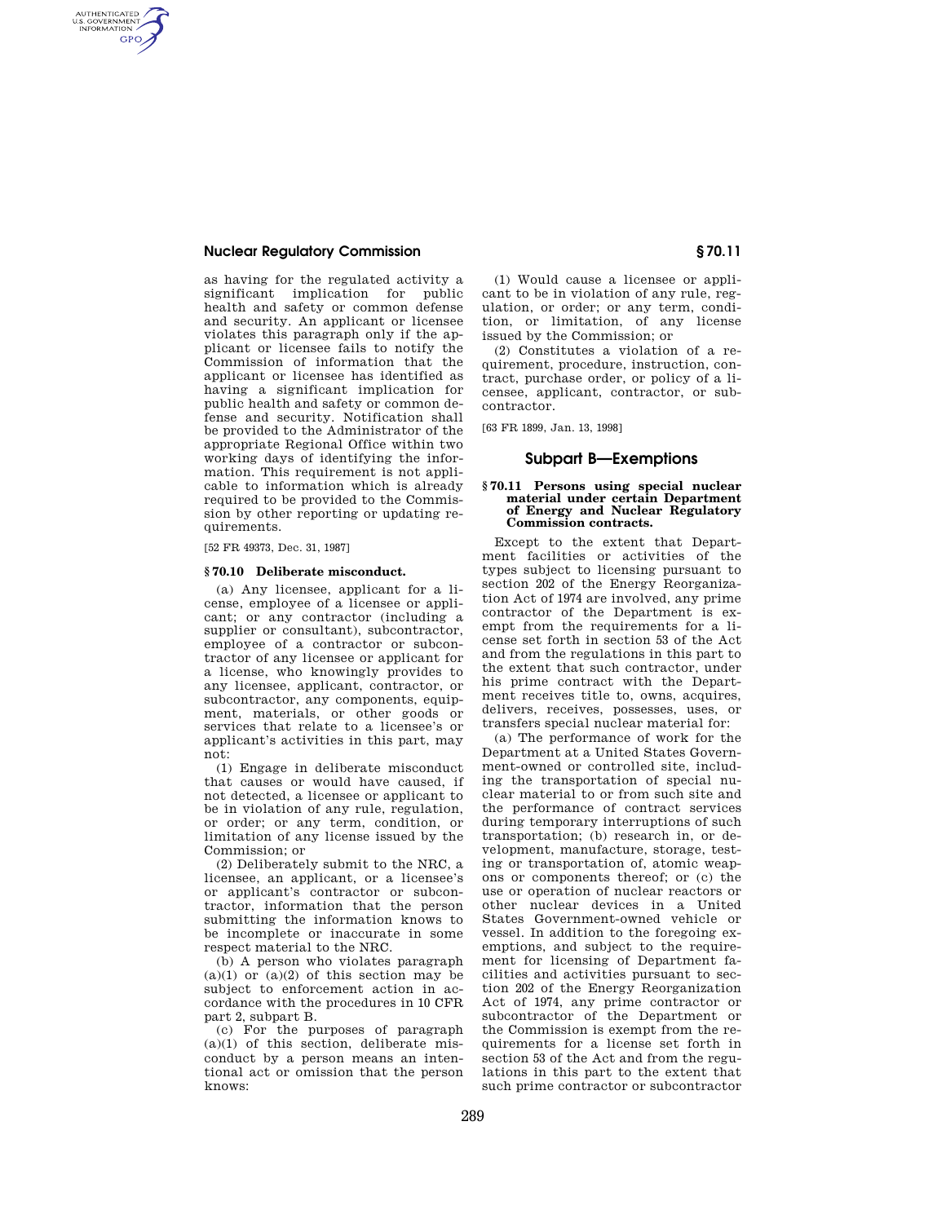## **Nuclear Regulatory Commission § 70.11**

AUTHENTICATED<br>U.S. GOVERNMENT<br>INFORMATION **GPO** 

> as having for the regulated activity a significant implication for public health and safety or common defense and security. An applicant or licensee violates this paragraph only if the applicant or licensee fails to notify the Commission of information that the applicant or licensee has identified as having a significant implication for public health and safety or common defense and security. Notification shall be provided to the Administrator of the appropriate Regional Office within two working days of identifying the information. This requirement is not applicable to information which is already required to be provided to the Commission by other reporting or updating requirements.

[52 FR 49373, Dec. 31, 1987]

#### **§ 70.10 Deliberate misconduct.**

(a) Any licensee, applicant for a license, employee of a licensee or applicant; or any contractor (including a supplier or consultant), subcontractor, employee of a contractor or subcontractor of any licensee or applicant for a license, who knowingly provides to any licensee, applicant, contractor, or subcontractor, any components, equipment, materials, or other goods or services that relate to a licensee's or applicant's activities in this part, may not:

(1) Engage in deliberate misconduct that causes or would have caused, if not detected, a licensee or applicant to be in violation of any rule, regulation, or order; or any term, condition, or limitation of any license issued by the Commission; or

(2) Deliberately submit to the NRC, a licensee, an applicant, or a licensee's or applicant's contractor or subcontractor, information that the person submitting the information knows to be incomplete or inaccurate in some respect material to the NRC.

(b) A person who violates paragraph  $(a)(1)$  or  $(a)(2)$  of this section may be subject to enforcement action in accordance with the procedures in 10 CFR part 2, subpart B.

(c) For the purposes of paragraph  $(a)(1)$  of this section, deliberate misconduct by a person means an intentional act or omission that the person knows:

(1) Would cause a licensee or applicant to be in violation of any rule, regulation, or order; or any term, condition, or limitation, of any license issued by the Commission; or

(2) Constitutes a violation of a requirement, procedure, instruction, contract, purchase order, or policy of a licensee, applicant, contractor, or subcontractor.

[63 FR 1899, Jan. 13, 1998]

### **Subpart B—Exemptions**

#### **§ 70.11 Persons using special nuclear material under certain Department of Energy and Nuclear Regulatory Commission contracts.**

Except to the extent that Department facilities or activities of the types subject to licensing pursuant to section 202 of the Energy Reorganization Act of 1974 are involved, any prime contractor of the Department is exempt from the requirements for a license set forth in section 53 of the Act and from the regulations in this part to the extent that such contractor, under his prime contract with the Department receives title to, owns, acquires, delivers, receives, possesses, uses, or transfers special nuclear material for:

(a) The performance of work for the Department at a United States Government-owned or controlled site, including the transportation of special nuclear material to or from such site and the performance of contract services during temporary interruptions of such transportation; (b) research in, or development, manufacture, storage, testing or transportation of, atomic weapons or components thereof; or (c) the use or operation of nuclear reactors or other nuclear devices in a United States Government-owned vehicle or vessel. In addition to the foregoing exemptions, and subject to the requirement for licensing of Department facilities and activities pursuant to section 202 of the Energy Reorganization Act of 1974, any prime contractor or subcontractor of the Department or the Commission is exempt from the requirements for a license set forth in section 53 of the Act and from the regulations in this part to the extent that such prime contractor or subcontractor